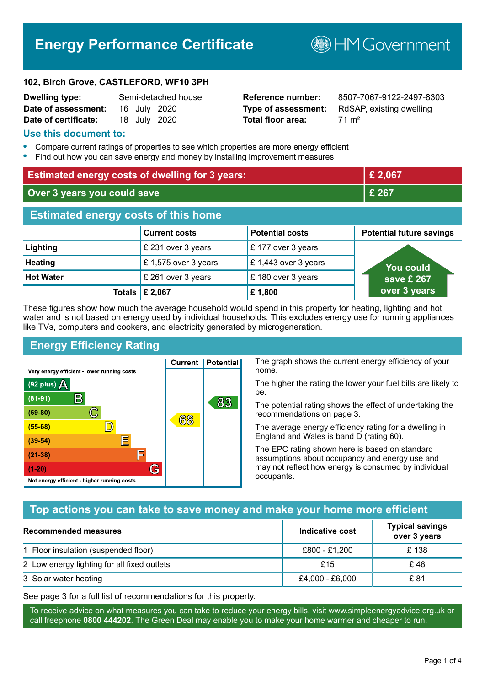## **Energy Performance Certificate**

**102, Birch Grove, CASTLEFORD, WF10 3PH**

| Dwelling type:       |  | Semi-detached house |
|----------------------|--|---------------------|
| Date of assessment:  |  | 16 July 2020        |
| Date of certificate: |  | 18 July 2020        |

# **Total floor area:** 71 m<sup>2</sup>

**Reference number:** 8507-7067-9122-2497-8303 **Type of assessment:** RdSAP, existing dwelling

**B**HM Government

#### **Use this document to:**

- **•** Compare current ratings of properties to see which properties are more energy efficient
- **•** Find out how you can save energy and money by installing improvement measures

| <b>Estimated energy costs of dwelling for 3 years:</b> |                           |                        | £ 2,067                         |
|--------------------------------------------------------|---------------------------|------------------------|---------------------------------|
| Over 3 years you could save                            |                           |                        | £ 267                           |
| <b>Estimated energy costs of this home</b>             |                           |                        |                                 |
|                                                        | <b>Current costs</b>      | <b>Potential costs</b> | <b>Potential future savings</b> |
| Lighting                                               | £ 231 over 3 years        | £177 over 3 years      |                                 |
| <b>Heating</b>                                         | £1,575 over 3 years       | £1,443 over 3 years    | <b>You could</b>                |
| <b>Hot Water</b>                                       | £ 261 over 3 years        | £180 over 3 years      | save £ 267                      |
|                                                        | Totals $\mathsf{E}$ 2,067 | £1,800                 | over 3 years                    |

These figures show how much the average household would spend in this property for heating, lighting and hot water and is not based on energy used by individual households. This excludes energy use for running appliances like TVs, computers and cookers, and electricity generated by microgeneration.

**Current | Potential** 

68

#### **Energy Efficiency Rating**

 $\mathbb{C}$ 

D)

IΞ

E

G

Very energy efficient - lower running costs

 $\mathsf{R}% _{T}$ 

Not energy efficient - higher running costs

(92 plus)  $\Delta$ 

 $(81 - 91)$ 

 $(69 - 80)$ 

 $(55-68)$  $(39-54)$ 

 $(21-38)$ 

 $(1-20)$ 

The graph shows the current energy efficiency of your home.

The higher the rating the lower your fuel bills are likely to be.

The potential rating shows the effect of undertaking the recommendations on page 3.

The average energy efficiency rating for a dwelling in England and Wales is band D (rating 60).

The EPC rating shown here is based on standard assumptions about occupancy and energy use and may not reflect how energy is consumed by individual occupants.

#### **Top actions you can take to save money and make your home more efficient**

83

| Recommended measures                        | Indicative cost | <b>Typical savings</b><br>over 3 years |
|---------------------------------------------|-----------------|----------------------------------------|
| 1 Floor insulation (suspended floor)        | £800 - £1,200   | £138                                   |
| 2 Low energy lighting for all fixed outlets | £15             | £48                                    |
| 3 Solar water heating                       | £4,000 - £6,000 | £ 81                                   |

See page 3 for a full list of recommendations for this property.

To receive advice on what measures you can take to reduce your energy bills, visit www.simpleenergyadvice.org.uk or call freephone **0800 444202**. The Green Deal may enable you to make your home warmer and cheaper to run.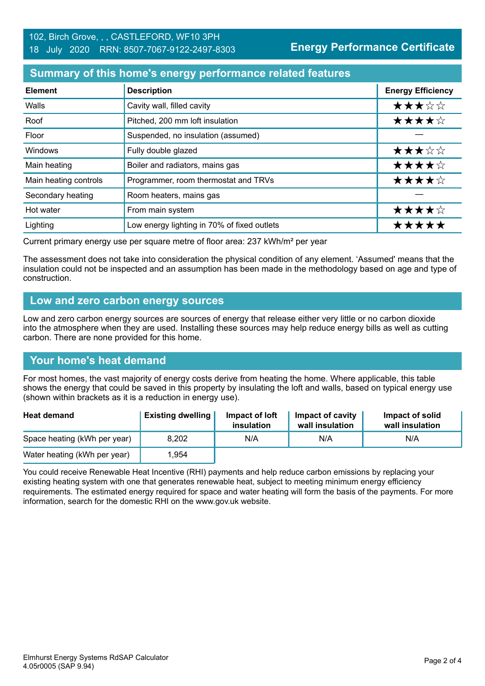#### **Summary of this home's energy performance related features**

| <b>Element</b>        | <b>Description</b>                          | <b>Energy Efficiency</b> |
|-----------------------|---------------------------------------------|--------------------------|
| Walls                 | Cavity wall, filled cavity                  | ★★★☆☆                    |
| Roof                  | Pitched, 200 mm loft insulation             | ★★★★☆                    |
| Floor                 | Suspended, no insulation (assumed)          |                          |
| Windows               | Fully double glazed                         | ★★★☆☆                    |
| Main heating          | Boiler and radiators, mains gas             | ★★★★☆                    |
| Main heating controls | Programmer, room thermostat and TRVs        | ★★★★☆                    |
| Secondary heating     | Room heaters, mains gas                     |                          |
| Hot water             | From main system                            | ★★★★☆                    |
| Lighting              | Low energy lighting in 70% of fixed outlets | *****                    |

Current primary energy use per square metre of floor area: 237 kWh/m² per year

The assessment does not take into consideration the physical condition of any element. 'Assumed' means that the insulation could not be inspected and an assumption has been made in the methodology based on age and type of construction.

#### **Low and zero carbon energy sources**

Low and zero carbon energy sources are sources of energy that release either very little or no carbon dioxide into the atmosphere when they are used. Installing these sources may help reduce energy bills as well as cutting carbon. There are none provided for this home.

#### **Your home's heat demand**

For most homes, the vast majority of energy costs derive from heating the home. Where applicable, this table shows the energy that could be saved in this property by insulating the loft and walls, based on typical energy use (shown within brackets as it is a reduction in energy use).

| <b>Heat demand</b>           | <b>Existing dwelling</b> | Impact of loft<br>insulation | Impact of cavity<br>wall insulation | Impact of solid<br>wall insulation |
|------------------------------|--------------------------|------------------------------|-------------------------------------|------------------------------------|
| Space heating (kWh per year) | 8.202                    | N/A                          | N/A                                 | N/A                                |
| Water heating (kWh per year) | 1,954                    |                              |                                     |                                    |

You could receive Renewable Heat Incentive (RHI) payments and help reduce carbon emissions by replacing your existing heating system with one that generates renewable heat, subject to meeting minimum energy efficiency requirements. The estimated energy required for space and water heating will form the basis of the payments. For more information, search for the domestic RHI on the www.gov.uk website.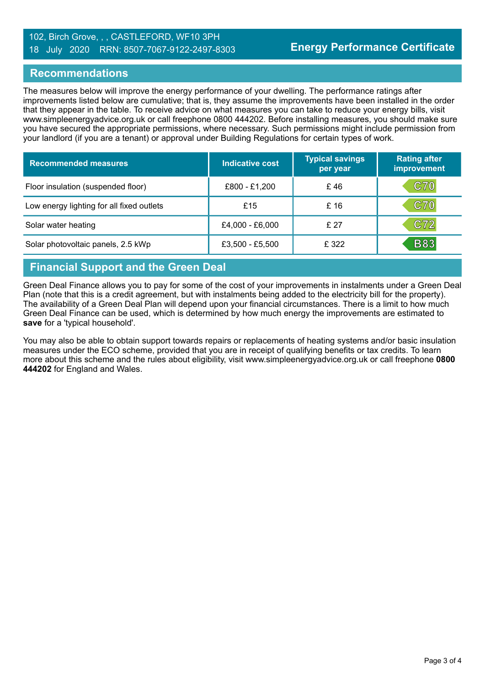#### 102, Birch Grove, , , CASTLEFORD, WF10 3PH 18 July 2020 RRN: 8507-7067-9122-2497-8303

#### **Recommendations**

The measures below will improve the energy performance of your dwelling. The performance ratings after improvements listed below are cumulative; that is, they assume the improvements have been installed in the order that they appear in the table. To receive advice on what measures you can take to reduce your energy bills, visit www.simpleenergyadvice.org.uk or call freephone 0800 444202. Before installing measures, you should make sure you have secured the appropriate permissions, where necessary. Such permissions might include permission from your landlord (if you are a tenant) or approval under Building Regulations for certain types of work.

| <b>Recommended measures</b>               | <b>Indicative cost</b> | <b>Typical savings</b><br>per year | <b>Rating after</b><br>improvement |
|-------------------------------------------|------------------------|------------------------------------|------------------------------------|
| Floor insulation (suspended floor)        | £800 - £1,200          | £46                                | <b>C70</b>                         |
| Low energy lighting for all fixed outlets | £15                    | £16                                | <b>C70</b>                         |
| Solar water heating                       | £4,000 - £6,000        | £27                                | C72                                |
| Solar photovoltaic panels, 2.5 kWp        | £3,500 - £5,500        | £ 322                              | <b>B83</b>                         |

### **Financial Support and the Green Deal**

Green Deal Finance allows you to pay for some of the cost of your improvements in instalments under a Green Deal Plan (note that this is a credit agreement, but with instalments being added to the electricity bill for the property). The availability of a Green Deal Plan will depend upon your financial circumstances. There is a limit to how much Green Deal Finance can be used, which is determined by how much energy the improvements are estimated to **save** for a 'typical household'.

You may also be able to obtain support towards repairs or replacements of heating systems and/or basic insulation measures under the ECO scheme, provided that you are in receipt of qualifying benefits or tax credits. To learn more about this scheme and the rules about eligibility, visit www.simpleenergyadvice.org.uk or call freephone **0800 444202** for England and Wales.